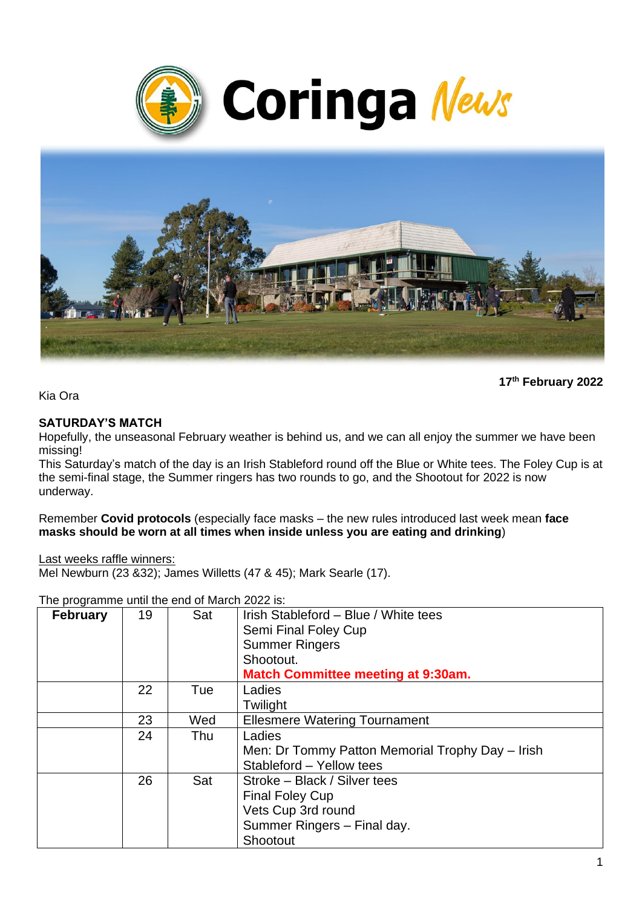



**17 th February 2022**

Kia Ora

#### **SATURDAY'S MATCH**

Hopefully, the unseasonal February weather is behind us, and we can all enjoy the summer we have been missing!

This Saturday's match of the day is an Irish Stableford round off the Blue or White tees. The Foley Cup is at the semi-final stage, the Summer ringers has two rounds to go, and the Shootout for 2022 is now underway.

Remember **Covid protocols** (especially face masks – the new rules introduced last week mean **face masks should be worn at all times when inside unless you are eating and drinking**)

Last weeks raffle winners:

Mel Newburn (23 &32); James Willetts (47 & 45); Mark Searle (17).

The programme until the end of March 2022 is:

| <b>February</b> | 19 | Sat | Irish Stableford - Blue / White tees<br>Semi Final Foley Cup<br><b>Summer Ringers</b><br>Shootout.<br><b>Match Committee meeting at 9:30am.</b> |
|-----------------|----|-----|-------------------------------------------------------------------------------------------------------------------------------------------------|
|                 | 22 | Tue | Ladies<br>Twilight                                                                                                                              |
|                 | 23 | Wed | <b>Ellesmere Watering Tournament</b>                                                                                                            |
|                 | 24 | Thu | Ladies<br>Men: Dr Tommy Patton Memorial Trophy Day - Irish<br>Stableford - Yellow tees                                                          |
|                 | 26 | Sat | Stroke - Black / Silver tees<br><b>Final Foley Cup</b><br>Vets Cup 3rd round<br>Summer Ringers - Final day.<br>Shootout                         |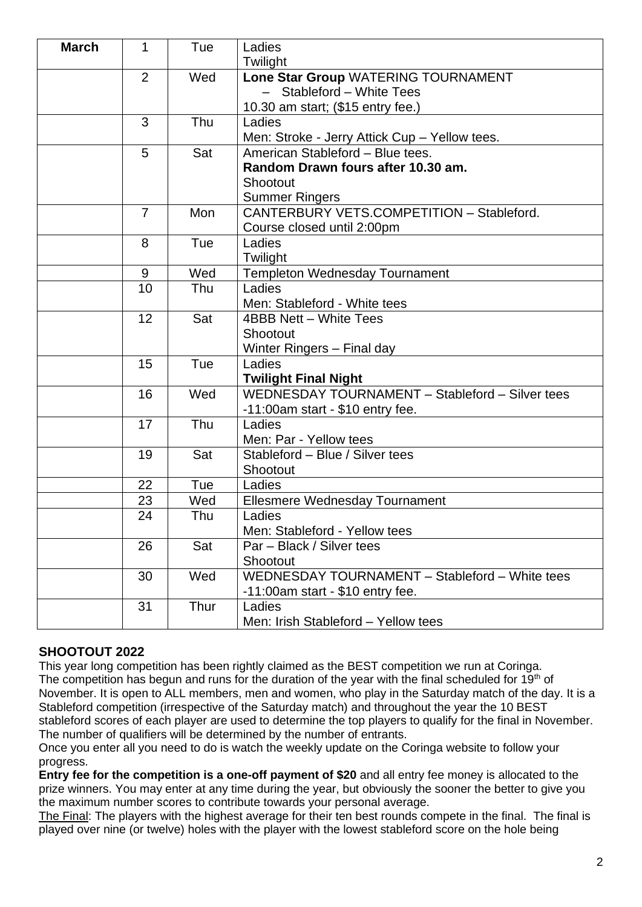| <b>March</b> | $\mathbf{1}$   | Tue  | Ladies                                          |  |
|--------------|----------------|------|-------------------------------------------------|--|
|              |                |      | Twilight                                        |  |
|              | $\overline{2}$ | Wed  | Lone Star Group WATERING TOURNAMENT             |  |
|              |                |      | - Stableford - White Tees                       |  |
|              |                |      | 10.30 am start; (\$15 entry fee.)               |  |
|              | 3              | Thu  | Ladies                                          |  |
|              |                |      | Men: Stroke - Jerry Attick Cup - Yellow tees.   |  |
|              | 5              | Sat  | American Stableford - Blue tees.                |  |
|              |                |      | Random Drawn fours after 10.30 am.              |  |
|              |                |      | Shootout                                        |  |
|              |                |      | <b>Summer Ringers</b>                           |  |
|              | $\overline{7}$ | Mon  | CANTERBURY VETS.COMPETITION - Stableford.       |  |
|              |                |      | Course closed until 2:00pm                      |  |
|              | 8              | Tue  | Ladies                                          |  |
|              |                |      | Twilight                                        |  |
|              | 9              | Wed  | <b>Templeton Wednesday Tournament</b>           |  |
|              | 10             | Thu  | Ladies                                          |  |
|              |                |      | Men: Stableford - White tees                    |  |
|              | 12             | Sat  | 4BBB Nett - White Tees                          |  |
|              |                |      | Shootout                                        |  |
|              |                |      | Winter Ringers - Final day                      |  |
|              | 15             | Tue  | Ladies                                          |  |
|              |                |      | <b>Twilight Final Night</b>                     |  |
|              | 16             | Wed  | WEDNESDAY TOURNAMENT - Stableford - Silver tees |  |
|              |                |      | -11:00am start - \$10 entry fee.                |  |
|              | 17             | Thu  | Ladies                                          |  |
|              |                |      | Men: Par - Yellow tees                          |  |
|              | 19             | Sat  | Stableford - Blue / Silver tees                 |  |
|              |                |      | Shootout                                        |  |
|              | 22             | Tue  | Ladies                                          |  |
|              | 23             | Wed  | <b>Ellesmere Wednesday Tournament</b>           |  |
|              | 24             | Thu  | Ladies                                          |  |
|              |                |      | Men: Stableford - Yellow tees                   |  |
|              | 26             | Sat  | Par - Black / Silver tees                       |  |
|              |                |      | Shootout                                        |  |
|              | 30             | Wed  | WEDNESDAY TOURNAMENT - Stableford - White tees  |  |
|              |                |      | $-11:00$ am start - \$10 entry fee.             |  |
|              | 31             | Thur | Ladies                                          |  |
|              |                |      | Men: Irish Stableford - Yellow tees             |  |

## **SHOOTOUT 2022**

This year long competition has been rightly claimed as the BEST competition we run at Coringa. The competition has begun and runs for the duration of the year with the final scheduled for  $19<sup>th</sup>$  of November. It is open to ALL members, men and women, who play in the Saturday match of the day. It is a Stableford competition (irrespective of the Saturday match) and throughout the year the 10 BEST stableford scores of each player are used to determine the top players to qualify for the final in November. The number of qualifiers will be determined by the number of entrants.

Once you enter all you need to do is watch the weekly update on the Coringa website to follow your progress.

**Entry fee for the competition is a one-off payment of \$20** and all entry fee money is allocated to the prize winners. You may enter at any time during the year, but obviously the sooner the better to give you the maximum number scores to contribute towards your personal average.

The Final: The players with the highest average for their ten best rounds compete in the final. The final is played over nine (or twelve) holes with the player with the lowest stableford score on the hole being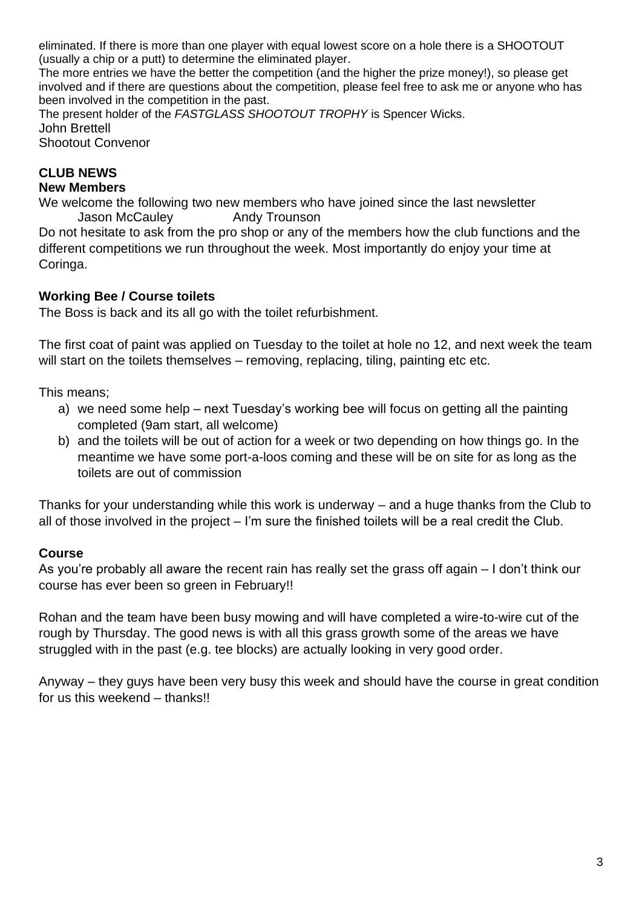eliminated. If there is more than one player with equal lowest score on a hole there is a SHOOTOUT (usually a chip or a putt) to determine the eliminated player.

The more entries we have the better the competition (and the higher the prize money!), so please get involved and if there are questions about the competition, please feel free to ask me or anyone who has been involved in the competition in the past.

The present holder of the *FASTGLASS SHOOTOUT TROPHY* is Spencer Wicks. John Brettell

Shootout Convenor

# **CLUB NEWS**

#### **New Members**

We welcome the following two new members who have joined since the last newsletter Jason McCauley **Andy Trounson** 

Do not hesitate to ask from the pro shop or any of the members how the club functions and the different competitions we run throughout the week. Most importantly do enjoy your time at Coringa.

## **Working Bee / Course toilets**

The Boss is back and its all go with the toilet refurbishment.

The first coat of paint was applied on Tuesday to the toilet at hole no 12, and next week the team will start on the toilets themselves – removing, replacing, tiling, painting etc etc.

This means;

- a) we need some help next Tuesday's working bee will focus on getting all the painting completed (9am start, all welcome)
- b) and the toilets will be out of action for a week or two depending on how things go. In the meantime we have some port-a-loos coming and these will be on site for as long as the toilets are out of commission

Thanks for your understanding while this work is underway – and a huge thanks from the Club to all of those involved in the project – I'm sure the finished toilets will be a real credit the Club.

## **Course**

As you're probably all aware the recent rain has really set the grass off again – I don't think our course has ever been so green in February!!

Rohan and the team have been busy mowing and will have completed a wire-to-wire cut of the rough by Thursday. The good news is with all this grass growth some of the areas we have struggled with in the past (e.g. tee blocks) are actually looking in very good order.

Anyway – they guys have been very busy this week and should have the course in great condition for us this weekend – thanks!!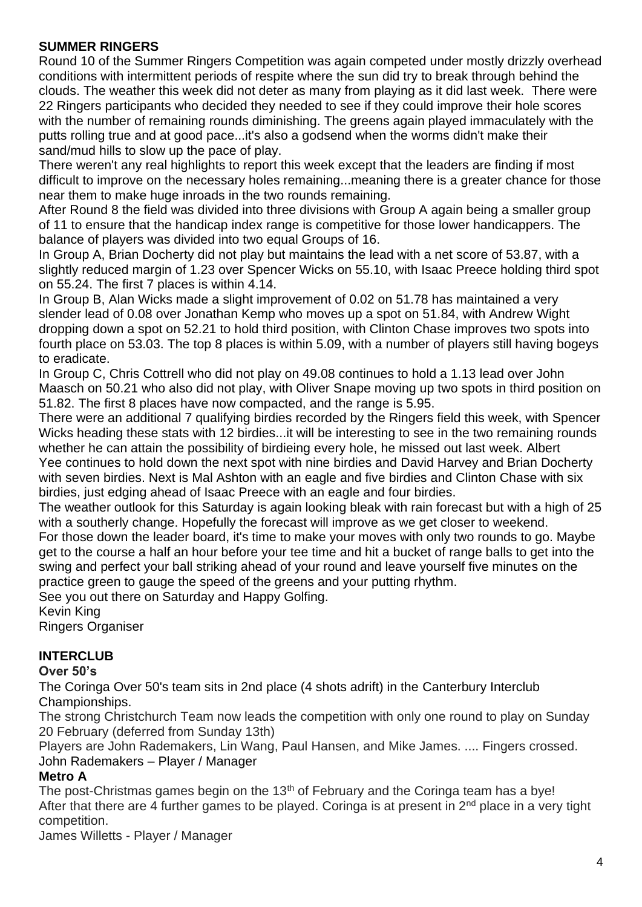## **SUMMER RINGERS**

Round 10 of the Summer Ringers Competition was again competed under mostly drizzly overhead conditions with intermittent periods of respite where the sun did try to break through behind the clouds. The weather this week did not deter as many from playing as it did last week. There were 22 Ringers participants who decided they needed to see if they could improve their hole scores with the number of remaining rounds diminishing. The greens again played immaculately with the putts rolling true and at good pace...it's also a godsend when the worms didn't make their sand/mud hills to slow up the pace of play.

There weren't any real highlights to report this week except that the leaders are finding if most difficult to improve on the necessary holes remaining...meaning there is a greater chance for those near them to make huge inroads in the two rounds remaining.

After Round 8 the field was divided into three divisions with Group A again being a smaller group of 11 to ensure that the handicap index range is competitive for those lower handicappers. The balance of players was divided into two equal Groups of 16.

In Group A, Brian Docherty did not play but maintains the lead with a net score of 53.87, with a slightly reduced margin of 1.23 over Spencer Wicks on 55.10, with Isaac Preece holding third spot on 55.24. The first 7 places is within 4.14.

In Group B, Alan Wicks made a slight improvement of 0.02 on 51.78 has maintained a very slender lead of 0.08 over Jonathan Kemp who moves up a spot on 51.84, with Andrew Wight dropping down a spot on 52.21 to hold third position, with Clinton Chase improves two spots into fourth place on 53.03. The top 8 places is within 5.09, with a number of players still having bogeys to eradicate.

In Group C, Chris Cottrell who did not play on 49.08 continues to hold a 1.13 lead over John Maasch on 50.21 who also did not play, with Oliver Snape moving up two spots in third position on 51.82. The first 8 places have now compacted, and the range is 5.95.

There were an additional 7 qualifying birdies recorded by the Ringers field this week, with Spencer Wicks heading these stats with 12 birdies...it will be interesting to see in the two remaining rounds whether he can attain the possibility of birdieing every hole, he missed out last week. Albert Yee continues to hold down the next spot with nine birdies and David Harvey and Brian Docherty with seven birdies. Next is Mal Ashton with an eagle and five birdies and Clinton Chase with six birdies, just edging ahead of Isaac Preece with an eagle and four birdies.

The weather outlook for this Saturday is again looking bleak with rain forecast but with a high of 25 with a southerly change. Hopefully the forecast will improve as we get closer to weekend.

For those down the leader board, it's time to make your moves with only two rounds to go. Maybe get to the course a half an hour before your tee time and hit a bucket of range balls to get into the swing and perfect your ball striking ahead of your round and leave yourself five minutes on the practice green to gauge the speed of the greens and your putting rhythm.

See you out there on Saturday and Happy Golfing.

Kevin King

Ringers Organiser

# **INTERCLUB**

## **Over 50's**

The Coringa Over 50's team sits in 2nd place (4 shots adrift) in the Canterbury Interclub Championships.

The strong Christchurch Team now leads the competition with only one round to play on Sunday 20 February (deferred from Sunday 13th)

Players are John Rademakers, Lin Wang, Paul Hansen, and Mike James. .... Fingers crossed. John Rademakers – Player / Manager

## **Metro A**

The post-Christmas games begin on the 13<sup>th</sup> of February and the Coringa team has a bye! After that there are 4 further games to be played. Coringa is at present in  $2<sup>nd</sup>$  place in a very tight competition.

James Willetts - Player / Manager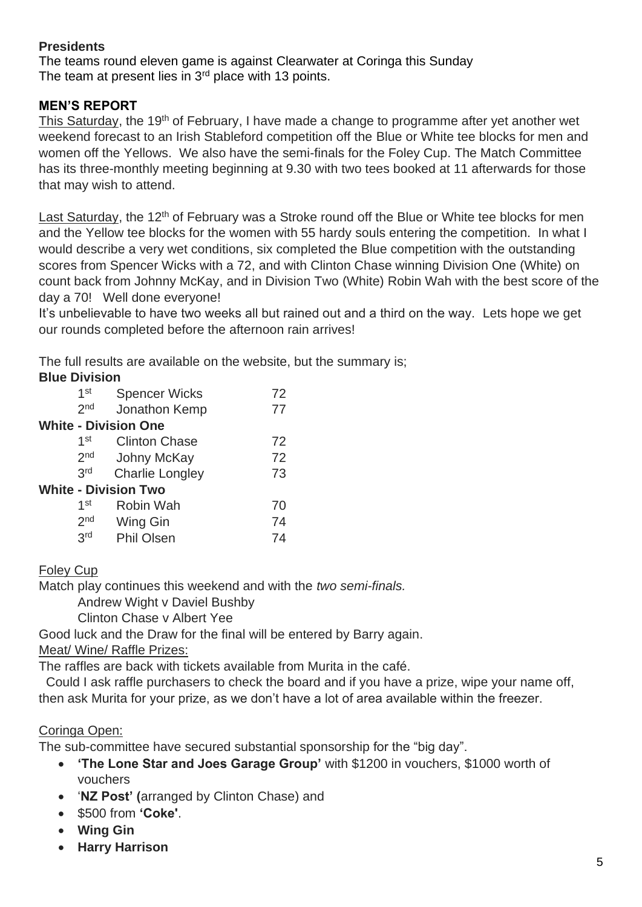## **Presidents**

The teams round eleven game is against Clearwater at Coringa this Sunday The team at present lies in  $3<sup>rd</sup>$  place with 13 points.

## **MEN'S REPORT**

This Saturday, the 19<sup>th</sup> of February, I have made a change to programme after yet another wet weekend forecast to an Irish Stableford competition off the Blue or White tee blocks for men and women off the Yellows. We also have the semi-finals for the Foley Cup. The Match Committee has its three-monthly meeting beginning at 9.30 with two tees booked at 11 afterwards for those that may wish to attend.

Last Saturday, the 12<sup>th</sup> of February was a Stroke round off the Blue or White tee blocks for men and the Yellow tee blocks for the women with 55 hardy souls entering the competition. In what I would describe a very wet conditions, six completed the Blue competition with the outstanding scores from Spencer Wicks with a 72, and with Clinton Chase winning Division One (White) on count back from Johnny McKay, and in Division Two (White) Robin Wah with the best score of the day a 70! Well done everyone!

It's unbelievable to have two weeks all but rained out and a third on the way. Lets hope we get our rounds completed before the afternoon rain arrives!

The full results are available on the website, but the summary is;

## **Blue Division**

| 1 <sub>st</sub> | <b>Spencer Wicks</b>        | 72 |
|-----------------|-----------------------------|----|
| 2 <sub>nd</sub> | Jonathon Kemp               | 77 |
|                 | <b>White - Division One</b> |    |
| 1 <sup>st</sup> | <b>Clinton Chase</b>        | 72 |
| 2 <sub>nd</sub> | <b>Johny McKay</b>          | 72 |
| 3rd             | <b>Charlie Longley</b>      | 73 |
|                 | <b>White - Division Two</b> |    |
| 1 <sup>st</sup> | Robin Wah                   | 70 |
| 2 <sub>nd</sub> | Wing Gin                    | 74 |
| 3rd             | <b>Phil Olsen</b>           | 74 |
|                 |                             |    |

## Foley Cup

Match play continues this weekend and with the *two semi-finals.*

Andrew Wight v Daviel Bushby

Clinton Chase v Albert Yee

Good luck and the Draw for the final will be entered by Barry again.

#### Meat/ Wine/ Raffle Prizes:

The raffles are back with tickets available from Murita in the café.

Could I ask raffle purchasers to check the board and if you have a prize, wipe your name off, then ask Murita for your prize, as we don't have a lot of area available within the freezer.

## Coringa Open:

The sub-committee have secured substantial sponsorship for the "big day".

- **'The Lone Star and Joes Garage Group'** with \$1200 in vouchers, \$1000 worth of vouchers
- '**NZ Post' (**arranged by Clinton Chase) and
- \$500 from **'Coke'**.
- **Wing Gin**
- **Harry Harrison**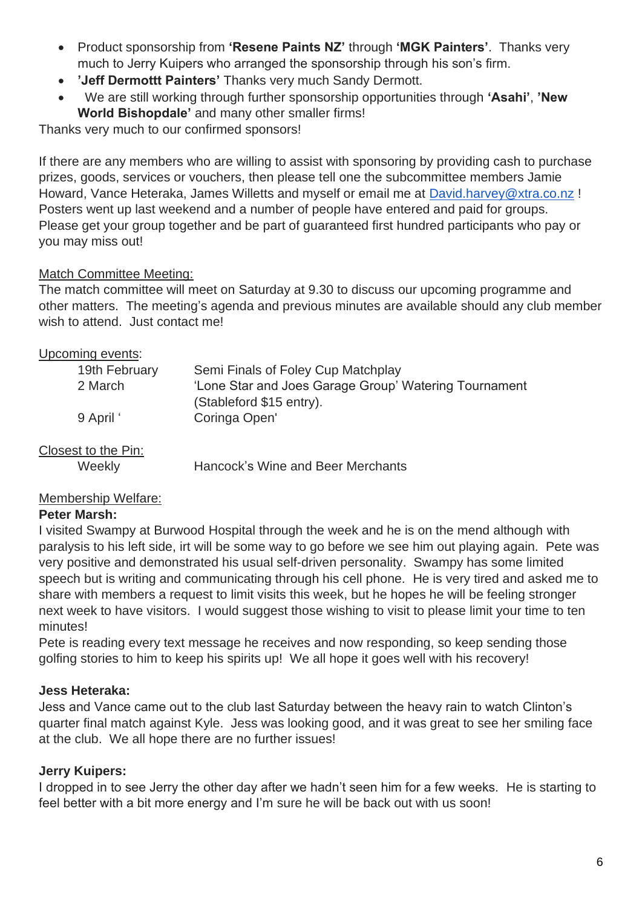- Product sponsorship from **'Resene Paints NZ'** through **'MGK Painters'**. Thanks very much to Jerry Kuipers who arranged the sponsorship through his son's firm.
- **'Jeff Dermottt Painters'** Thanks very much Sandy Dermott.
- We are still working through further sponsorship opportunities through **'Asahi'**, **'New World Bishopdale'** and many other smaller firms!

Thanks very much to our confirmed sponsors!

If there are any members who are willing to assist with sponsoring by providing cash to purchase prizes, goods, services or vouchers, then please tell one the subcommittee members Jamie Howard, Vance Heteraka, James Willetts and myself or email me at [David.harvey@xtra.co.nz](mailto:David.harvey@xtra.co.nz) ! Posters went up last weekend and a number of people have entered and paid for groups. Please get your group together and be part of guaranteed first hundred participants who pay or you may miss out!

## Match Committee Meeting:

The match committee will meet on Saturday at 9.30 to discuss our upcoming programme and other matters. The meeting's agenda and previous minutes are available should any club member wish to attend. Just contact me!

## Upcoming events:

| 19th February | Semi Finals of Foley Cup Matchplay                    |
|---------------|-------------------------------------------------------|
| 2 March       | 'Lone Star and Joes Garage Group' Watering Tournament |
|               | (Stableford \$15 entry).                              |
| 9 April '     | Coringa Open'                                         |
|               |                                                       |

## Closest to the Pin:

Weekly Hancock's Wine and Beer Merchants

## Membership Welfare:

#### **Peter Marsh:**

I visited Swampy at Burwood Hospital through the week and he is on the mend although with paralysis to his left side, irt will be some way to go before we see him out playing again. Pete was very positive and demonstrated his usual self-driven personality. Swampy has some limited speech but is writing and communicating through his cell phone. He is very tired and asked me to share with members a request to limit visits this week, but he hopes he will be feeling stronger next week to have visitors. I would suggest those wishing to visit to please limit your time to ten minutes!

Pete is reading every text message he receives and now responding, so keep sending those golfing stories to him to keep his spirits up! We all hope it goes well with his recovery!

## **Jess Heteraka:**

Jess and Vance came out to the club last Saturday between the heavy rain to watch Clinton's quarter final match against Kyle. Jess was looking good, and it was great to see her smiling face at the club. We all hope there are no further issues!

## **Jerry Kuipers:**

I dropped in to see Jerry the other day after we hadn't seen him for a few weeks. He is starting to feel better with a bit more energy and I'm sure he will be back out with us soon!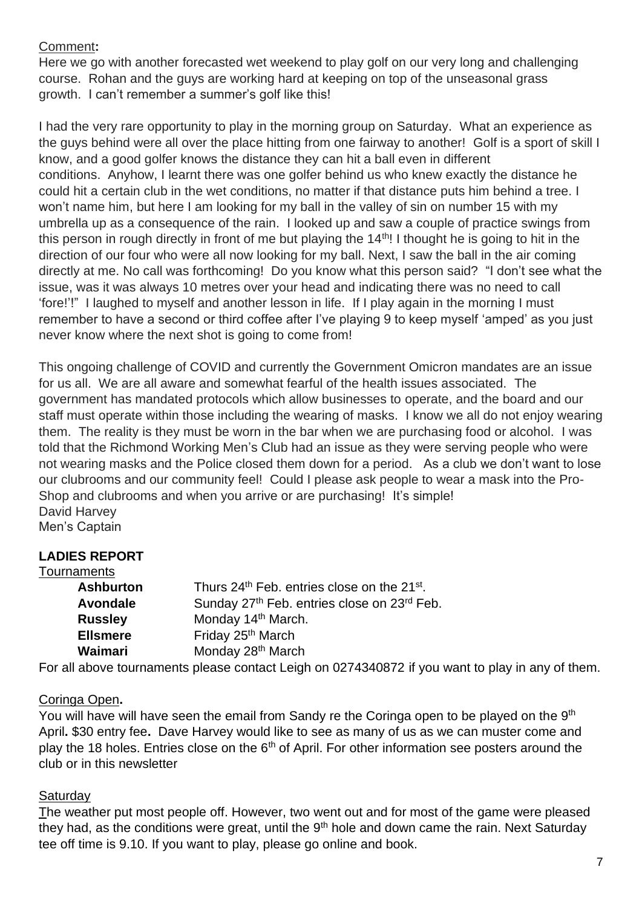## Comment**:**

Here we go with another forecasted wet weekend to play golf on our very long and challenging course. Rohan and the guys are working hard at keeping on top of the unseasonal grass growth. I can't remember a summer's golf like this!

I had the very rare opportunity to play in the morning group on Saturday. What an experience as the guys behind were all over the place hitting from one fairway to another! Golf is a sport of skill I know, and a good golfer knows the distance they can hit a ball even in different conditions. Anyhow, I learnt there was one golfer behind us who knew exactly the distance he could hit a certain club in the wet conditions, no matter if that distance puts him behind a tree. I won't name him, but here I am looking for my ball in the valley of sin on number 15 with my umbrella up as a consequence of the rain. I looked up and saw a couple of practice swings from this person in rough directly in front of me but playing the 14<sup>th</sup>! I thought he is going to hit in the direction of our four who were all now looking for my ball. Next, I saw the ball in the air coming directly at me. No call was forthcoming! Do you know what this person said? "I don't see what the issue, was it was always 10 metres over your head and indicating there was no need to call 'fore!'!" I laughed to myself and another lesson in life. If I play again in the morning I must remember to have a second or third coffee after I've playing 9 to keep myself 'amped' as you just never know where the next shot is going to come from!

This ongoing challenge of COVID and currently the Government Omicron mandates are an issue for us all. We are all aware and somewhat fearful of the health issues associated. The government has mandated protocols which allow businesses to operate, and the board and our staff must operate within those including the wearing of masks. I know we all do not enjoy wearing them. The reality is they must be worn in the bar when we are purchasing food or alcohol. I was told that the Richmond Working Men's Club had an issue as they were serving people who were not wearing masks and the Police closed them down for a period. As a club we don't want to lose our clubrooms and our community feel! Could I please ask people to wear a mask into the Pro-Shop and clubrooms and when you arrive or are purchasing! It's simple! David Harvey Men's Captain

# **LADIES REPORT**

| Tournaments      |                                                                     |
|------------------|---------------------------------------------------------------------|
| <b>Ashburton</b> | Thurs 24 <sup>th</sup> Feb. entries close on the 21 <sup>st</sup> . |
| <b>Avondale</b>  | Sunday 27th Feb. entries close on 23rd Feb.                         |
| <b>Russley</b>   | Monday 14 <sup>th</sup> March.                                      |
| <b>Ellsmere</b>  | Friday 25th March                                                   |
| Waimari          | Monday 28 <sup>th</sup> March                                       |
|                  |                                                                     |

For all above tournaments please contact Leigh on 0274340872 if you want to play in any of them.

## Coringa Open**.**

You will have will have seen the email from Sandy re the Coringa open to be played on the 9<sup>th</sup> April**.** \$30 entry fee**.** Dave Harvey would like to see as many of us as we can muster come and play the 18 holes. Entries close on the  $6<sup>th</sup>$  of April. For other information see posters around the club or in this newsletter

## **Saturday**

The weather put most people off. However, two went out and for most of the game were pleased they had, as the conditions were great, until the 9<sup>th</sup> hole and down came the rain. Next Saturday tee off time is 9.10. If you want to play, please go online and book.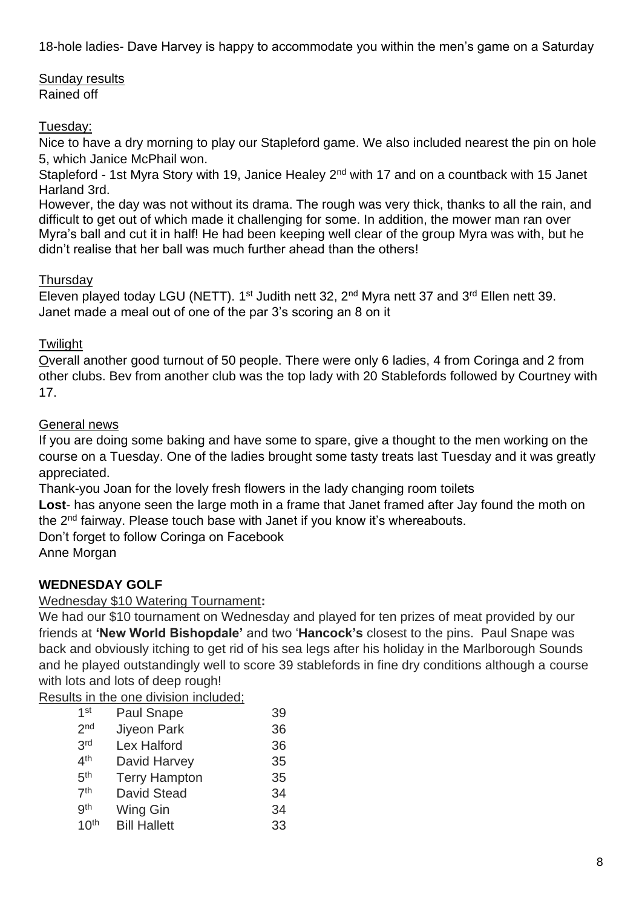18-hole ladies- Dave Harvey is happy to accommodate you within the men's game on a Saturday

Sunday results Rained off

## Tuesday:

Nice to have a dry morning to play our Stapleford game. We also included nearest the pin on hole 5, which Janice McPhail won.

Stapleford - 1st Myra Story with 19, Janice Healey 2<sup>nd</sup> with 17 and on a countback with 15 Janet Harland 3rd.

However, the day was not without its drama. The rough was very thick, thanks to all the rain, and difficult to get out of which made it challenging for some. In addition, the mower man ran over Myra's ball and cut it in half! He had been keeping well clear of the group Myra was with, but he didn't realise that her ball was much further ahead than the others!

## **Thursday**

Eleven played today LGU (NETT). 1<sup>st</sup> Judith nett 32, 2<sup>nd</sup> Myra nett 37 and 3<sup>rd</sup> Ellen nett 39. Janet made a meal out of one of the par 3's scoring an 8 on it

## **Twilight**

Overall another good turnout of 50 people. There were only 6 ladies, 4 from Coringa and 2 from other clubs. Bev from another club was the top lady with 20 Stablefords followed by Courtney with 17.

## General news

If you are doing some baking and have some to spare, give a thought to the men working on the course on a Tuesday. One of the ladies brought some tasty treats last Tuesday and it was greatly appreciated.

Thank-you Joan for the lovely fresh flowers in the lady changing room toilets

Lost- has anyone seen the large moth in a frame that Janet framed after Jay found the moth on the 2<sup>nd</sup> fairway. Please touch base with Janet if you know it's whereabouts.

Don't forget to follow Coringa on Facebook

Anne Morgan

# **WEDNESDAY GOLF**

## Wednesday \$10 Watering Tournament**:**

We had our \$10 tournament on Wednesday and played for ten prizes of meat provided by our friends at **'New World Bishopdale'** and two '**Hancock's** closest to the pins. Paul Snape was back and obviously itching to get rid of his sea legs after his holiday in the Marlborough Sounds and he played outstandingly well to score 39 stablefords in fine dry conditions although a course with lots and lots of deep rough!

Results in the one division included;

| $1$ st           | <b>Paul Snape</b>    | 39 |
|------------------|----------------------|----|
| 2 <sub>nd</sub>  | <b>Jiyeon Park</b>   | 36 |
| 3 <sup>rd</sup>  | Lex Halford          | 36 |
| 4 <sup>th</sup>  | David Harvey         | 35 |
| 5 <sup>th</sup>  | <b>Terry Hampton</b> | 35 |
| 7 <sup>th</sup>  | <b>David Stead</b>   | 34 |
| gth              | Wing Gin             | 34 |
| 10 <sup>th</sup> | <b>Bill Hallett</b>  | 33 |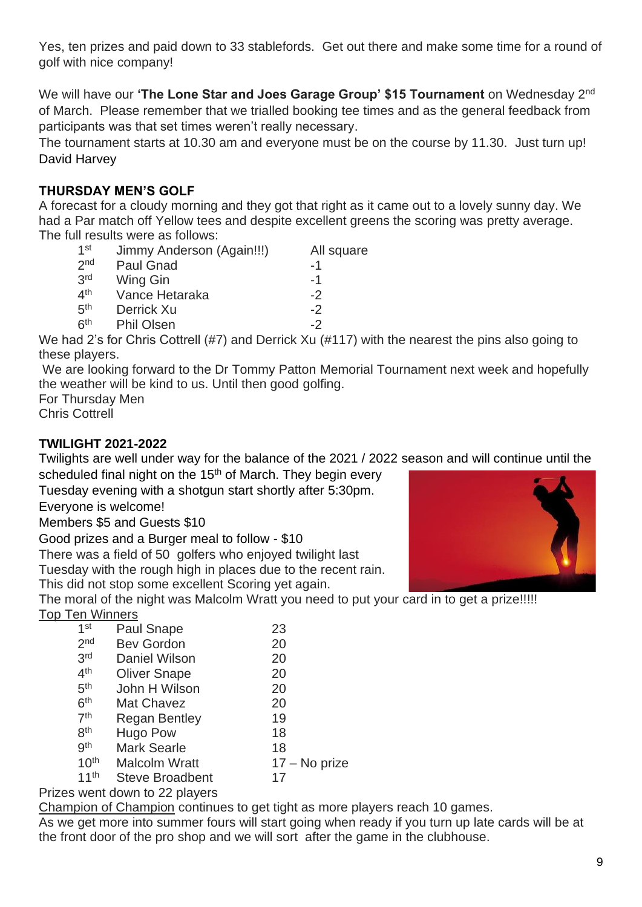Yes, ten prizes and paid down to 33 stablefords. Get out there and make some time for a round of golf with nice company!

We will have our 'The Lone Star and Joes Garage Group' \$15 Tournament on Wednesday 2<sup>nd</sup> of March. Please remember that we trialled booking tee times and as the general feedback from participants was that set times weren't really necessary.

The tournament starts at 10.30 am and everyone must be on the course by 11.30. Just turn up! David Harvey

# **THURSDAY MEN'S GOLF**

A forecast for a cloudy morning and they got that right as it came out to a lovely sunny day. We had a Par match off Yellow tees and despite excellent greens the scoring was pretty average. The full results were as follows:

| $1$ st          | Jimmy Anderson (Again!!!) | All square |
|-----------------|---------------------------|------------|
| 2 <sub>nd</sub> | <b>Paul Gnad</b>          | -1         |
| 3 <sup>rd</sup> | Wing Gin                  | -1         |
| 4 <sup>th</sup> | Vance Hetaraka            | -2         |
| 5 <sup>th</sup> | Derrick Xu                | $-2$       |
| 6 <sup>th</sup> | <b>Phil Olsen</b>         | -2         |

We had 2's for Chris Cottrell (#7) and Derrick Xu (#117) with the nearest the pins also going to these players.

We are looking forward to the Dr Tommy Patton Memorial Tournament next week and hopefully the weather will be kind to us. Until then good golfing.

For Thursday Men

Chris Cottrell

## **TWILIGHT 2021-2022**

Twilights are well under way for the balance of the 2021 / 2022 season and will continue until the scheduled final night on the 15<sup>th</sup> of March. They begin every

Tuesday evening with a shotgun start shortly after 5:30pm.

Everyone is welcome!

Members \$5 and Guests \$10

Good prizes and a Burger meal to follow - \$10

There was a field of 50 golfers who enjoyed twilight last

Tuesday with the rough high in places due to the recent rain.

This did not stop some excellent Scoring yet again.

The moral of the night was Malcolm Wratt you need to put your card in to get a prize!!!!!

# Top Ten Winners

| 1 <sup>st</sup>  | <b>Paul Snape</b>      | 23            |
|------------------|------------------------|---------------|
| 2 <sub>nd</sub>  | <b>Bev Gordon</b>      | 20            |
| 3 <sup>rd</sup>  | Daniel Wilson          | 20            |
| 4 <sup>th</sup>  | <b>Oliver Snape</b>    | 20            |
| 5 <sup>th</sup>  | John H Wilson          | 20            |
| 6 <sup>th</sup>  | Mat Chavez             | 20            |
| 7 <sup>th</sup>  | <b>Regan Bentley</b>   | 19            |
| 8 <sup>th</sup>  | <b>Hugo Pow</b>        | 18            |
| gth              | <b>Mark Searle</b>     | 18            |
| 10 <sup>th</sup> | <b>Malcolm Wratt</b>   | 17 – No prize |
| 11 <sup>th</sup> | <b>Steve Broadbent</b> | 17            |
|                  |                        |               |

## Prizes went down to 22 players

Champion of Champion continues to get tight as more players reach 10 games.

As we get more into summer fours will start going when ready if you turn up late cards will be at the front door of the pro shop and we will sort after the game in the clubhouse.

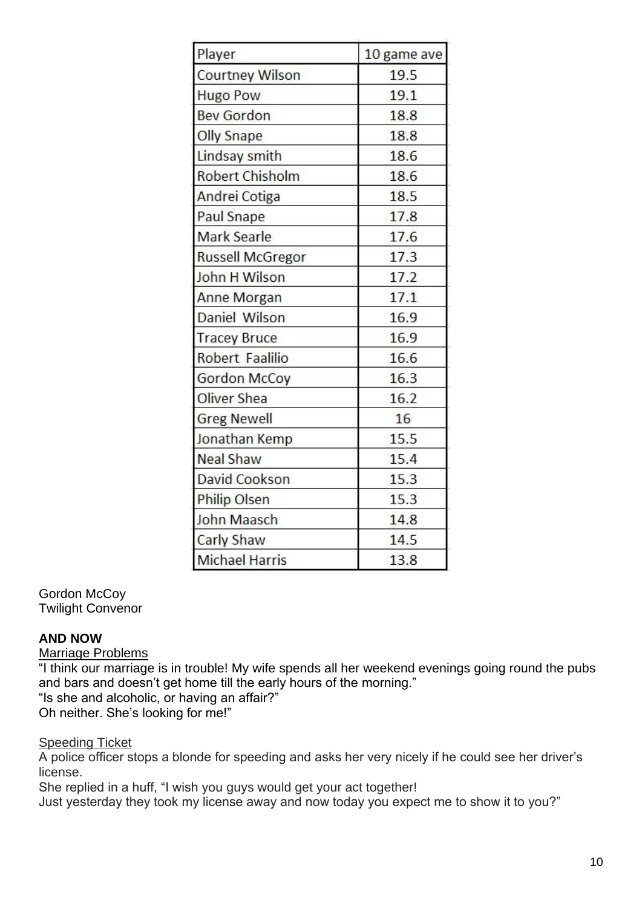| Player                  | 10 game ave |
|-------------------------|-------------|
| <b>Courtney Wilson</b>  | 19.5        |
| <b>Hugo Pow</b>         | 19.1        |
| <b>Bev Gordon</b>       | 18.8        |
| <b>Olly Snape</b>       | 18.8        |
| Lindsay smith           | 18.6        |
| <b>Robert Chisholm</b>  | 18.6        |
| Andrei Cotiga           | 18.5        |
| Paul Snape              | 17.8        |
| Mark Searle             | 17.6        |
| <b>Russell McGregor</b> | 17.3        |
| John H Wilson           | 17.2        |
| Anne Morgan             | 17.1        |
| Daniel Wilson           | 16.9        |
| <b>Tracey Bruce</b>     | 16.9        |
| Robert Faalilio         | 16.6        |
| Gordon McCoy            | 16.3        |
| Oliver Shea             | 16.2        |
| <b>Greg Newell</b>      | 16          |
| Jonathan Kemp           | 15.5        |
| <b>Neal Shaw</b>        | 15.4        |
| David Cookson           | 15.3        |
| <b>Philip Olsen</b>     | 15.3        |
| John Maasch             | 14.8        |
| Carly Shaw              | 14.5        |
| Michael Harris          | 13.8        |

#### Gordon McCoy Twilight Convenor

## **AND NOW**

Marriage Problems

"I think our marriage is in trouble! My wife spends all her weekend evenings going round the pubs and bars and doesn't get home till the early hours of the morning."

"Is she and alcoholic, or having an affair?"

Oh neither. She's looking for me!"

# **Speeding Ticket**

A police officer stops a blonde for speeding and asks her very nicely if he could see her driver's license.

She replied in a huff, "I wish you guys would get your act together!

Just yesterday they took my license away and now today you expect me to show it to you?"